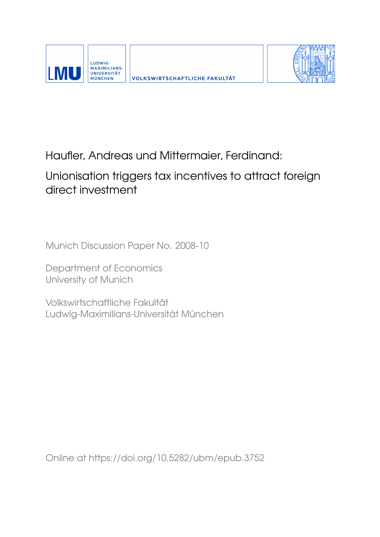



# Haufler, Andreas und Mittermaier, Ferdinand:

## Unionisation triggers tax incentives to attract foreign direct investment

Munich Discussion Paper No. 2008-10

Department of Economics University of Munich

Volkswirtschaftliche Fakultät Ludwig-Maximilians-Universität München

Online at https://doi.org/10.5282/ubm/epub.3752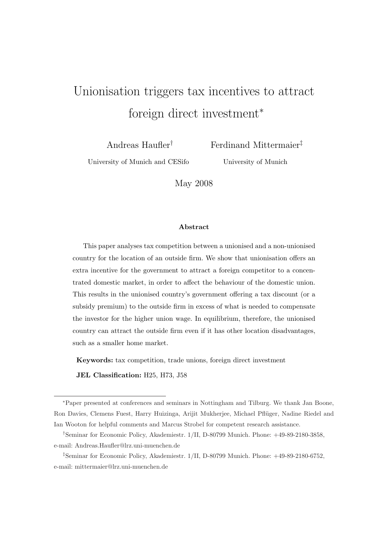# Unionisation triggers tax incentives to attract foreign direct investment<sup>∗</sup>

Andreas Haufler†

Ferdinand Mittermaier‡

University of Munich and CESifo

University of Munich

May 2008

#### Abstract

This paper analyses tax competition between a unionised and a non-unionised country for the location of an outside firm. We show that unionisation offers an extra incentive for the government to attract a foreign competitor to a concentrated domestic market, in order to affect the behaviour of the domestic union. This results in the unionised country's government offering a tax discount (or a subsidy premium) to the outside firm in excess of what is needed to compensate the investor for the higher union wage. In equilibrium, therefore, the unionised country can attract the outside firm even if it has other location disadvantages, such as a smaller home market.

Keywords: tax competition, trade unions, foreign direct investment

JEL Classification: H25, H73, J58

<sup>∗</sup>Paper presented at conferences and seminars in Nottingham and Tilburg. We thank Jan Boone, Ron Davies, Clemens Fuest, Harry Huizinga, Arijit Mukherjee, Michael Pfl¨uger, Nadine Riedel and Ian Wooton for helpful comments and Marcus Strobel for competent research assistance.

<sup>†</sup>Seminar for Economic Policy, Akademiestr. 1/II, D-80799 Munich. Phone: +49-89-2180-3858, e-mail: Andreas.Haufler@lrz.uni-muenchen.de

<sup>‡</sup>Seminar for Economic Policy, Akademiestr. 1/II, D-80799 Munich. Phone: +49-89-2180-6752, e-mail: mittermaier@lrz.uni-muenchen.de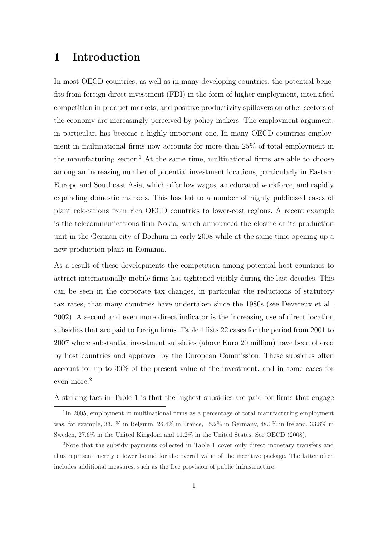### 1 Introduction

In most OECD countries, as well as in many developing countries, the potential benefits from foreign direct investment (FDI) in the form of higher employment, intensified competition in product markets, and positive productivity spillovers on other sectors of the economy are increasingly perceived by policy makers. The employment argument, in particular, has become a highly important one. In many OECD countries employment in multinational firms now accounts for more than 25% of total employment in the manufacturing sector.<sup>1</sup> At the same time, multinational firms are able to choose among an increasing number of potential investment locations, particularly in Eastern Europe and Southeast Asia, which offer low wages, an educated workforce, and rapidly expanding domestic markets. This has led to a number of highly publicised cases of plant relocations from rich OECD countries to lower-cost regions. A recent example is the telecommunications firm Nokia, which announced the closure of its production unit in the German city of Bochum in early 2008 while at the same time opening up a new production plant in Romania.

As a result of these developments the competition among potential host countries to attract internationally mobile firms has tightened visibly during the last decades. This can be seen in the corporate tax changes, in particular the reductions of statutory tax rates, that many countries have undertaken since the 1980s (see Devereux et al., 2002). A second and even more direct indicator is the increasing use of direct location subsidies that are paid to foreign firms. Table 1 lists 22 cases for the period from 2001 to 2007 where substantial investment subsidies (above Euro 20 million) have been offered by host countries and approved by the European Commission. These subsidies often account for up to 30% of the present value of the investment, and in some cases for even more.<sup>2</sup>

A striking fact in Table 1 is that the highest subsidies are paid for firms that engage

<sup>&</sup>lt;sup>1</sup>In 2005, employment in multinational firms as a percentage of total manufacturing employment was, for example, 33.1% in Belgium, 26.4% in France, 15.2% in Germany, 48.0% in Ireland, 33.8% in Sweden, 27.6% in the United Kingdom and 11.2% in the United States. See OECD (2008).

<sup>2</sup>Note that the subsidy payments collected in Table 1 cover only direct monetary transfers and thus represent merely a lower bound for the overall value of the incentive package. The latter often includes additional measures, such as the free provision of public infrastructure.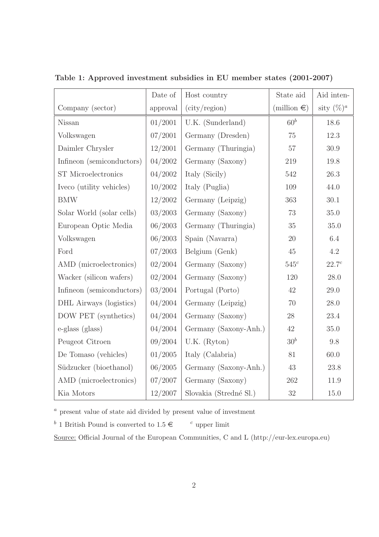|                           | Date of  | Host country           | State aid             | Aid inten-        |
|---------------------------|----------|------------------------|-----------------------|-------------------|
| Company (sector)          | approval | (city/region)          | (million $\epsilon$ ) | sity $(\%)^a$     |
| Nissan                    | 01/2001  | U.K. (Sunderland)      | $60^b$                | 18.6              |
| Volkswagen                | 07/2001  | Germany (Dresden)      | 75                    | 12.3              |
| Daimler Chrysler          | 12/2001  | Germany (Thuringia)    | $57\,$                | 30.9              |
| Infineon (semiconductors) | 04/2002  | Germany (Saxony)       | 219                   | 19.8              |
| ST Microelectronics       | 04/2002  | Italy (Sicily)         | 542                   | 26.3              |
| Iveco (utility vehicles)  | 10/2002  | Italy (Puglia)         | 109                   | 44.0              |
| <b>BMW</b>                | 12/2002  | Germany (Leipzig)      | 363                   | 30.1              |
| Solar World (solar cells) | 03/2003  | Germany (Saxony)       | 73                    | 35.0              |
| European Optic Media      | 06/2003  | Germany (Thuringia)    | 35                    | 35.0              |
| Volkswagen                | 06/2003  | Spain (Navarra)        | 20                    | 6.4               |
| Ford                      | 07/2003  | Belgium (Genk)         | 45                    | 4.2               |
| AMD (microelectronics)    | 02/2004  | Germany (Saxony)       | $545^c$               | 22.7 <sup>c</sup> |
| Wacker (silicon wafers)   | 02/2004  | Germany (Saxony)       | 120                   | 28.0              |
| Infineon (semiconductors) | 03/2004  | Portugal (Porto)       | 42                    | 29.0              |
| DHL Airways (logistics)   | 04/2004  | Germany (Leipzig)      | 70                    | 28.0              |
| DOW PET (synthetics)      | 04/2004  | Germany (Saxony)       | 28                    | 23.4              |
| e-glass (glass)           | 04/2004  | Germany (Saxony-Anh.)  | $42\,$                | 35.0              |
| Peugeot Citroen           | 09/2004  | $U.K.$ (Ryton)         | 30 <sup>b</sup>       | 9.8               |
| De Tomaso (vehicles)      | 01/2005  | Italy (Calabria)       | 81                    | 60.0              |
| Südzucker (bioethanol)    | 06/2005  | Germany (Saxony-Anh.)  | 43                    | 23.8              |
| AMD (microelectronics)    | 07/2007  | Germany (Saxony)       | 262                   | 11.9              |
| Kia Motors                | 12/2007  | Slovakia (Stredné Sl.) | $32\,$                | 15.0              |

Table 1: Approved investment subsidies in EU member states (2001-2007)

 $\sp{a}$  present value of state aid divided by present value of investment

<sup>b</sup> 1 British Pound is converted to  $1.5 \in \mathbb{C}$  upper limit

Source: Official Journal of the European Communities, C and L (http://eur-lex.europa.eu)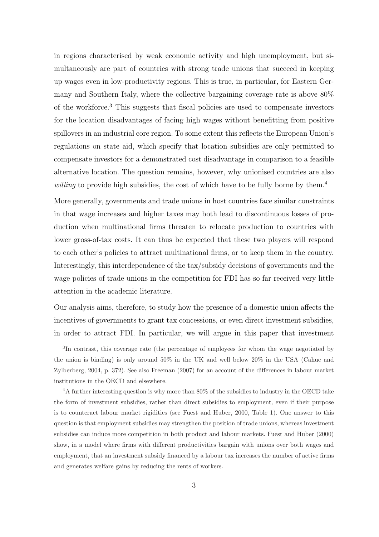in regions characterised by weak economic activity and high unemployment, but simultaneously are part of countries with strong trade unions that succeed in keeping up wages even in low-productivity regions. This is true, in particular, for Eastern Germany and Southern Italy, where the collective bargaining coverage rate is above 80% of the workforce.<sup>3</sup> This suggests that fiscal policies are used to compensate investors for the location disadvantages of facing high wages without benefitting from positive spillovers in an industrial core region. To some extent this reflects the European Union's regulations on state aid, which specify that location subsidies are only permitted to compensate investors for a demonstrated cost disadvantage in comparison to a feasible alternative location. The question remains, however, why unionised countries are also willing to provide high subsidies, the cost of which have to be fully borne by them.<sup>4</sup>

More generally, governments and trade unions in host countries face similar constraints in that wage increases and higher taxes may both lead to discontinuous losses of production when multinational firms threaten to relocate production to countries with lower gross-of-tax costs. It can thus be expected that these two players will respond to each other's policies to attract multinational firms, or to keep them in the country. Interestingly, this interdependence of the tax/subsidy decisions of governments and the wage policies of trade unions in the competition for FDI has so far received very little attention in the academic literature.

Our analysis aims, therefore, to study how the presence of a domestic union affects the incentives of governments to grant tax concessions, or even direct investment subsidies, in order to attract FDI. In particular, we will argue in this paper that investment

<sup>&</sup>lt;sup>3</sup>In contrast, this coverage rate (the percentage of employees for whom the wage negotiated by the union is binding) is only around 50% in the UK and well below 20% in the USA (Cahuc and Zylberberg, 2004, p. 372). See also Freeman (2007) for an account of the differences in labour market institutions in the OECD and elsewhere.

<sup>&</sup>lt;sup>4</sup>A further interesting question is why more than 80% of the subsidies to industry in the OECD take the form of investment subsidies, rather than direct subsidies to employment, even if their purpose is to counteract labour market rigidities (see Fuest and Huber, 2000, Table 1). One answer to this question is that employment subsidies may strengthen the position of trade unions, whereas investment subsidies can induce more competition in both product and labour markets. Fuest and Huber (2000) show, in a model where firms with different productivities bargain with unions over both wages and employment, that an investment subsidy financed by a labour tax increases the number of active firms and generates welfare gains by reducing the rents of workers.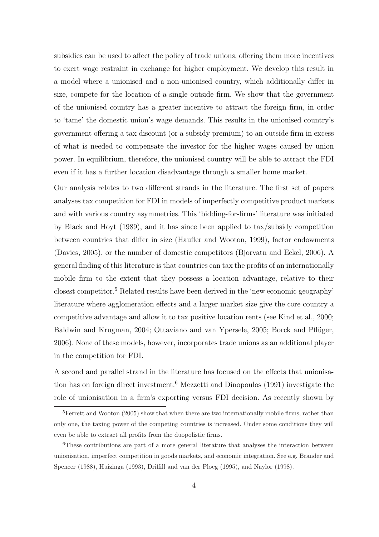subsidies can be used to affect the policy of trade unions, offering them more incentives to exert wage restraint in exchange for higher employment. We develop this result in a model where a unionised and a non-unionised country, which additionally differ in size, compete for the location of a single outside firm. We show that the government of the unionised country has a greater incentive to attract the foreign firm, in order to 'tame' the domestic union's wage demands. This results in the unionised country's government offering a tax discount (or a subsidy premium) to an outside firm in excess of what is needed to compensate the investor for the higher wages caused by union power. In equilibrium, therefore, the unionised country will be able to attract the FDI even if it has a further location disadvantage through a smaller home market.

Our analysis relates to two different strands in the literature. The first set of papers analyses tax competition for FDI in models of imperfectly competitive product markets and with various country asymmetries. This 'bidding-for-firms' literature was initiated by Black and Hoyt (1989), and it has since been applied to tax/subsidy competition between countries that differ in size (Haufler and Wooton, 1999), factor endowments (Davies, 2005), or the number of domestic competitors (Bjorvatn and Eckel, 2006). A general finding of this literature is that countries can tax the profits of an internationally mobile firm to the extent that they possess a location advantage, relative to their closest competitor.<sup>5</sup> Related results have been derived in the 'new economic geography' literature where agglomeration effects and a larger market size give the core country a competitive advantage and allow it to tax positive location rents (see Kind et al., 2000; Baldwin and Krugman, 2004; Ottaviano and van Ypersele, 2005; Borck and Pflüger, 2006). None of these models, however, incorporates trade unions as an additional player in the competition for FDI.

A second and parallel strand in the literature has focused on the effects that unionisation has on foreign direct investment.<sup>6</sup> Mezzetti and Dinopoulos (1991) investigate the role of unionisation in a firm's exporting versus FDI decision. As recently shown by

<sup>&</sup>lt;sup>5</sup>Ferrett and Wooton (2005) show that when there are two internationally mobile firms, rather than only one, the taxing power of the competing countries is increased. Under some conditions they will even be able to extract all profits from the duopolistic firms.

<sup>&</sup>lt;sup>6</sup>These contributions are part of a more general literature that analyses the interaction between unionisation, imperfect competition in goods markets, and economic integration. See e.g. Brander and Spencer (1988), Huizinga (1993), Driffill and van der Ploeg (1995), and Naylor (1998).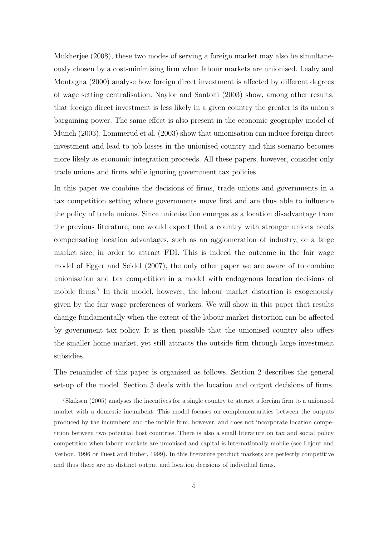Mukherjee (2008), these two modes of serving a foreign market may also be simultaneously chosen by a cost-minimising firm when labour markets are unionised. Leahy and Montagna (2000) analyse how foreign direct investment is affected by different degrees of wage setting centralisation. Naylor and Santoni (2003) show, among other results, that foreign direct investment is less likely in a given country the greater is its union's bargaining power. The same effect is also present in the economic geography model of Munch (2003). Lommerud et al. (2003) show that unionisation can induce foreign direct investment and lead to job losses in the unionised country and this scenario becomes more likely as economic integration proceeds. All these papers, however, consider only trade unions and firms while ignoring government tax policies.

In this paper we combine the decisions of firms, trade unions and governments in a tax competition setting where governments move first and are thus able to influence the policy of trade unions. Since unionisation emerges as a location disadvantage from the previous literature, one would expect that a country with stronger unions needs compensating location advantages, such as an agglomeration of industry, or a large market size, in order to attract FDI. This is indeed the outcome in the fair wage model of Egger and Seidel (2007), the only other paper we are aware of to combine unionisation and tax competition in a model with endogenous location decisions of mobile firms.<sup>7</sup> In their model, however, the labour market distortion is exogenously given by the fair wage preferences of workers. We will show in this paper that results change fundamentally when the extent of the labour market distortion can be affected by government tax policy. It is then possible that the unionised country also offers the smaller home market, yet still attracts the outside firm through large investment subsidies.

The remainder of this paper is organised as follows. Section 2 describes the general set-up of the model. Section 3 deals with the location and output decisions of firms.

<sup>7</sup>Skaksen (2005) analyses the incentives for a single country to attract a foreign firm to a unionised market with a domestic incumbent. This model focuses on complementarities between the outputs produced by the incumbent and the mobile firm, however, and does not incorporate location competition between two potential host countries. There is also a small literature on tax and social policy competition when labour markets are unionised and capital is internationally mobile (see Lejour and Verbon, 1996 or Fuest and Huber, 1999). In this literature product markets are perfectly competitive and thus there are no distinct output and location decisions of individual firms.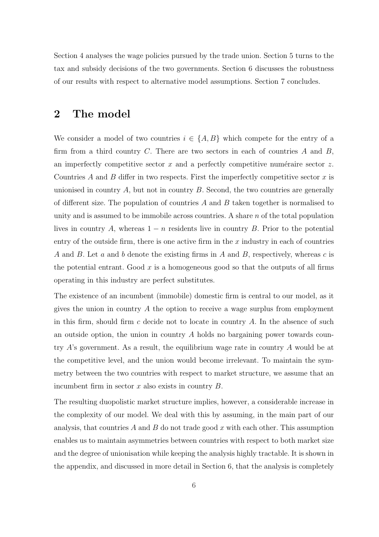Section 4 analyses the wage policies pursued by the trade union. Section 5 turns to the tax and subsidy decisions of the two governments. Section 6 discusses the robustness of our results with respect to alternative model assumptions. Section 7 concludes.

### 2 The model

We consider a model of two countries  $i \in \{A, B\}$  which compete for the entry of a firm from a third country C. There are two sectors in each of countries  $A$  and  $B$ , an imperfectly competitive sector  $x$  and a perfectly competitive numéraire sector  $z$ . Countries A and B differ in two respects. First the imperfectly competitive sector x is unionised in country  $A$ , but not in country  $B$ . Second, the two countries are generally of different size. The population of countries  $A$  and  $B$  taken together is normalised to unity and is assumed to be immobile across countries. A share  $n$  of the total population lives in country A, whereas  $1 - n$  residents live in country B. Prior to the potential entry of the outside firm, there is one active firm in the  $x$  industry in each of countries A and B. Let a and b denote the existing firms in A and B, respectively, whereas c is the potential entrant. Good  $x$  is a homogeneous good so that the outputs of all firms operating in this industry are perfect substitutes.

The existence of an incumbent (immobile) domestic firm is central to our model, as it gives the union in country A the option to receive a wage surplus from employment in this firm, should firm c decide not to locate in country A. In the absence of such an outside option, the union in country A holds no bargaining power towards country A's government. As a result, the equilibrium wage rate in country A would be at the competitive level, and the union would become irrelevant. To maintain the symmetry between the two countries with respect to market structure, we assume that an incumbent firm in sector  $x$  also exists in country  $B$ .

The resulting duopolistic market structure implies, however, a considerable increase in the complexity of our model. We deal with this by assuming, in the main part of our analysis, that countries A and B do not trade good x with each other. This assumption enables us to maintain asymmetries between countries with respect to both market size and the degree of unionisation while keeping the analysis highly tractable. It is shown in the appendix, and discussed in more detail in Section 6, that the analysis is completely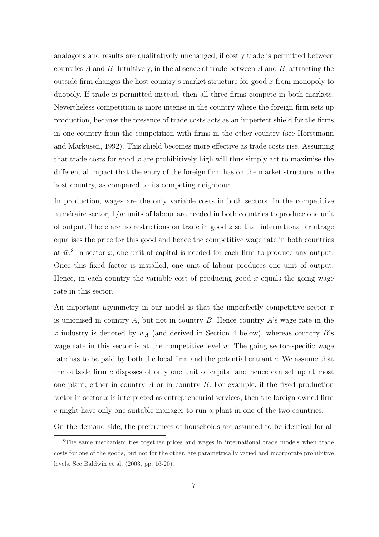analogous and results are qualitatively unchanged, if costly trade is permitted between countries A and B. Intuitively, in the absence of trade between A and B, attracting the outside firm changes the host country's market structure for good  $x$  from monopoly to duopoly. If trade is permitted instead, then all three firms compete in both markets. Nevertheless competition is more intense in the country where the foreign firm sets up production, because the presence of trade costs acts as an imperfect shield for the firms in one country from the competition with firms in the other country (see Horstmann and Markusen, 1992). This shield becomes more effective as trade costs rise. Assuming that trade costs for good  $x$  are prohibitively high will thus simply act to maximise the differential impact that the entry of the foreign firm has on the market structure in the host country, as compared to its competing neighbour.

In production, wages are the only variable costs in both sectors. In the competitive numéraire sector,  $1/\bar{w}$  units of labour are needed in both countries to produce one unit of output. There are no restrictions on trade in good  $z$  so that international arbitrage equalises the price for this good and hence the competitive wage rate in both countries at  $\bar{w}^8$ . In sector x, one unit of capital is needed for each firm to produce any output. Once this fixed factor is installed, one unit of labour produces one unit of output. Hence, in each country the variable cost of producing good  $x$  equals the going wage rate in this sector.

An important asymmetry in our model is that the imperfectly competitive sector  $x$ is unionised in country A, but not in country B. Hence country A's wage rate in the x industry is denoted by  $w_A$  (and derived in Section 4 below), whereas country B's wage rate in this sector is at the competitive level  $\bar{w}$ . The going sector-specific wage rate has to be paid by both the local firm and the potential entrant c. We assume that the outside firm c disposes of only one unit of capital and hence can set up at most one plant, either in country  $A$  or in country  $B$ . For example, if the fixed production factor in sector  $x$  is interpreted as entrepreneurial services, then the foreign-owned firm c might have only one suitable manager to run a plant in one of the two countries.

On the demand side, the preferences of households are assumed to be identical for all

<sup>8</sup>The same mechanism ties together prices and wages in international trade models when trade costs for one of the goods, but not for the other, are parametrically varied and incorporate prohibitive levels. See Baldwin et al. (2003, pp. 16-20).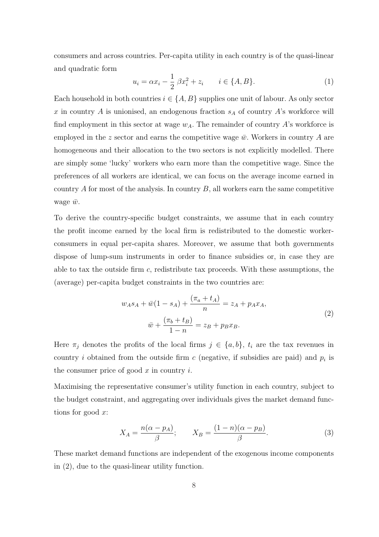consumers and across countries. Per-capita utility in each country is of the quasi-linear and quadratic form

$$
u_i = \alpha x_i - \frac{1}{2} \beta x_i^2 + z_i \qquad i \in \{A, B\}.
$$
 (1)

Each household in both countries  $i \in \{A, B\}$  supplies one unit of labour. As only sector x in country  $A$  is unionised, an endogenous fraction  $s_A$  of country  $A$ 's workforce will find employment in this sector at wage  $w_A$ . The remainder of country A's workforce is employed in the z sector and earns the competitive wage  $\bar{w}$ . Workers in country A are homogeneous and their allocation to the two sectors is not explicitly modelled. There are simply some 'lucky' workers who earn more than the competitive wage. Since the preferences of all workers are identical, we can focus on the average income earned in country  $A$  for most of the analysis. In country  $B$ , all workers earn the same competitive wage  $\bar{w}$ .

To derive the country-specific budget constraints, we assume that in each country the profit income earned by the local firm is redistributed to the domestic workerconsumers in equal per-capita shares. Moreover, we assume that both governments dispose of lump-sum instruments in order to finance subsidies or, in case they are able to tax the outside firm  $c$ , redistribute tax proceeds. With these assumptions, the (average) per-capita budget constraints in the two countries are:

$$
w_A s_A + \bar{w}(1 - s_A) + \frac{(\pi_a + t_A)}{n} = z_A + p_A x_A,
$$
  

$$
\bar{w} + \frac{(\pi_b + t_B)}{1 - n} = z_B + p_B x_B.
$$
 (2)

Here  $\pi_j$  denotes the profits of the local firms  $j \in \{a, b\}$ ,  $t_i$  are the tax revenues in country *i* obtained from the outside firm  $c$  (negative, if subsidies are paid) and  $p_i$  is the consumer price of good  $x$  in country  $i$ .

Maximising the representative consumer's utility function in each country, subject to the budget constraint, and aggregating over individuals gives the market demand functions for good  $x$ :

$$
X_A = \frac{n(\alpha - p_A)}{\beta}; \qquad X_B = \frac{(1 - n)(\alpha - p_B)}{\beta}.
$$
 (3)

These market demand functions are independent of the exogenous income components in (2), due to the quasi-linear utility function.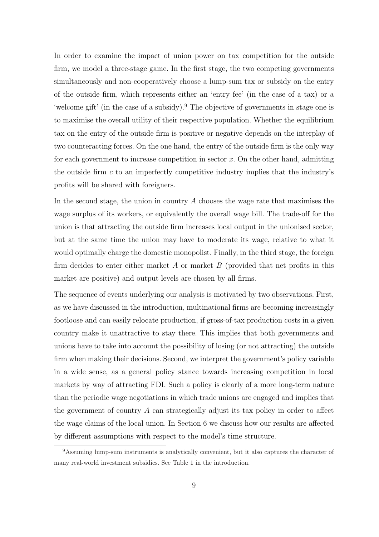In order to examine the impact of union power on tax competition for the outside firm, we model a three-stage game. In the first stage, the two competing governments simultaneously and non-cooperatively choose a lump-sum tax or subsidy on the entry of the outside firm, which represents either an 'entry fee' (in the case of a tax) or a 'welcome gift' (in the case of a subsidy).<sup>9</sup> The objective of governments in stage one is to maximise the overall utility of their respective population. Whether the equilibrium tax on the entry of the outside firm is positive or negative depends on the interplay of two counteracting forces. On the one hand, the entry of the outside firm is the only way for each government to increase competition in sector  $x$ . On the other hand, admitting the outside firm  $c$  to an imperfectly competitive industry implies that the industry's profits will be shared with foreigners.

In the second stage, the union in country  $A$  chooses the wage rate that maximises the wage surplus of its workers, or equivalently the overall wage bill. The trade-off for the union is that attracting the outside firm increases local output in the unionised sector, but at the same time the union may have to moderate its wage, relative to what it would optimally charge the domestic monopolist. Finally, in the third stage, the foreign firm decides to enter either market A or market B (provided that net profits in this market are positive) and output levels are chosen by all firms.

The sequence of events underlying our analysis is motivated by two observations. First, as we have discussed in the introduction, multinational firms are becoming increasingly footloose and can easily relocate production, if gross-of-tax production costs in a given country make it unattractive to stay there. This implies that both governments and unions have to take into account the possibility of losing (or not attracting) the outside firm when making their decisions. Second, we interpret the government's policy variable in a wide sense, as a general policy stance towards increasing competition in local markets by way of attracting FDI. Such a policy is clearly of a more long-term nature than the periodic wage negotiations in which trade unions are engaged and implies that the government of country A can strategically adjust its tax policy in order to affect the wage claims of the local union. In Section 6 we discuss how our results are affected by different assumptions with respect to the model's time structure.

<sup>&</sup>lt;sup>9</sup>Assuming lump-sum instruments is analytically convenient, but it also captures the character of many real-world investment subsidies. See Table 1 in the introduction.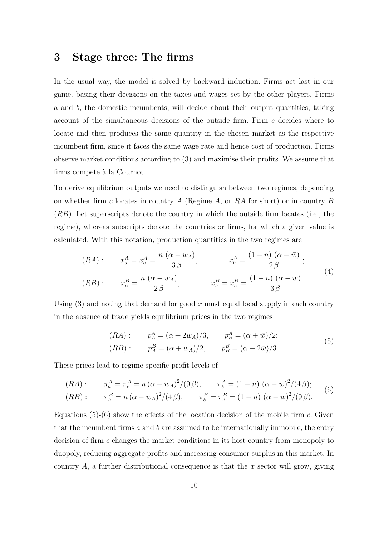### 3 Stage three: The firms

In the usual way, the model is solved by backward induction. Firms act last in our game, basing their decisions on the taxes and wages set by the other players. Firms a and b, the domestic incumbents, will decide about their output quantities, taking account of the simultaneous decisions of the outside firm. Firm c decides where to locate and then produces the same quantity in the chosen market as the respective incumbent firm, since it faces the same wage rate and hence cost of production. Firms observe market conditions according to (3) and maximise their profits. We assume that firms compete à la Cournot.

To derive equilibrium outputs we need to distinguish between two regimes, depending on whether firm c locates in country A (Regime A, or RA for short) or in country B (RB). Let superscripts denote the country in which the outside firm locates (i.e., the regime), whereas subscripts denote the countries or firms, for which a given value is calculated. With this notation, production quantities in the two regimes are

$$
(RA): \t x_a^A = x_c^A = \frac{n (\alpha - w_A)}{3\beta}, \t x_b^A = \frac{(1 - n) (\alpha - \bar{w})}{2\beta};
$$
  

$$
(RB): \t x_a^B = \frac{n (\alpha - w_A)}{2\beta}, \t x_b^B = x_c^B = \frac{(1 - n) (\alpha - \bar{w})}{3\beta}.
$$
  
(4)

Using  $(3)$  and noting that demand for good x must equal local supply in each country in the absence of trade yields equilibrium prices in the two regimes

$$
(RA): \t p_A^A = (\alpha + 2w_A)/3, \t p_B^A = (\alpha + \bar{w})/2; (RB): \t p_A^B = (\alpha + w_A)/2, \t p_B^B = (\alpha + 2\bar{w})/3.
$$
\t(5)

These prices lead to regime-specific profit levels of

$$
(RA): \qquad \pi_a^A = \pi_c^A = n\left(\alpha - w_A\right)^2 / (9\beta), \qquad \pi_b^A = (1 - n)\left(\alpha - \bar{w}\right)^2 / (4\beta); \tag{6}
$$

$$
(RB): \qquad \pi_a^B = n\,(\alpha - w_A)^2/(4\,\beta), \qquad \pi_b^B = \pi_c^B = (1 - n)\,(\alpha - \bar{w})^2/(9\,\beta).
$$

Equations  $(5)-(6)$  show the effects of the location decision of the mobile firm c. Given that the incumbent firms  $a$  and  $b$  are assumed to be internationally immobile, the entry decision of firm c changes the market conditions in its host country from monopoly to duopoly, reducing aggregate profits and increasing consumer surplus in this market. In country  $A$ , a further distributional consequence is that the x sector will grow, giving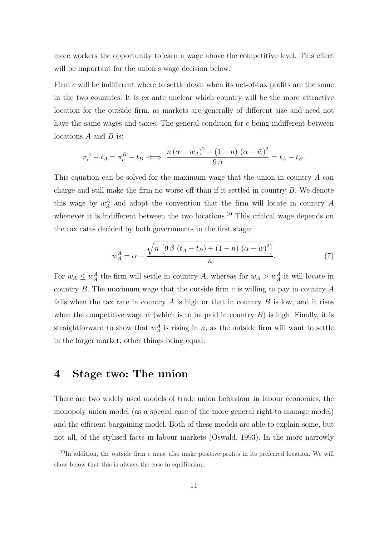more workers the opportunity to earn a wage above the competitive level. This effect will be important for the union's wage decision below.

Firm c will be indifferent where to settle down when its net-of-tax profits are the same in the two countries. It is ex ante unclear which country will be the more attractive location for the outside firm, as markets are generally of different size and need not have the same wages and taxes. The general condition for c being indifferent between locations  $A$  and  $B$  is:

$$
\pi_c^A - t_A = \pi_c^B - t_B \iff \frac{n(\alpha - w_A)^2 - (1 - n)(\alpha - \bar{w})^2}{9\beta} = t_A - t_B.
$$

This equation can be solved for the maximum wage that the union in country A can charge and still make the firm no worse off than if it settled in country  $B$ . We denote this wage by  $w_A^A$  and adopt the convention that the firm will locate in country A whenever it is indifferent between the two locations.<sup>10</sup> This critical wage depends on the tax rates decided by both governments in the first stage:

$$
w_A^A = \alpha - \frac{\sqrt{n \left[9 \beta \left(t_A - t_B\right) + \left(1 - n\right) \left(\alpha - \bar{w}\right)^2\right]}}{n}.
$$
 (7)

For  $w_A \leq w_A^A$  the firm will settle in country A, whereas for  $w_A > w_A^A$  it will locate in country B. The maximum wage that the outside firm  $c$  is willing to pay in country A falls when the tax rate in country  $A$  is high or that in country  $B$  is low, and it rises when the competitive wage  $\bar{w}$  (which is to be paid in country B) is high. Finally, it is straightforward to show that  $w_A^A$  is rising in n, as the outside firm will want to settle in the larger market, other things being equal.

### 4 Stage two: The union

There are two widely used models of trade union behaviour in labour economics, the monopoly union model (as a special case of the more general right-to-manage model) and the efficient bargaining model. Both of these models are able to explain some, but not all, of the stylised facts in labour markets (Oswald, 1993). In the more narrowly

 $10$ In addition, the outside firm c must also make positive profits in its preferred location. We will show below that this is always the case in equilibrium.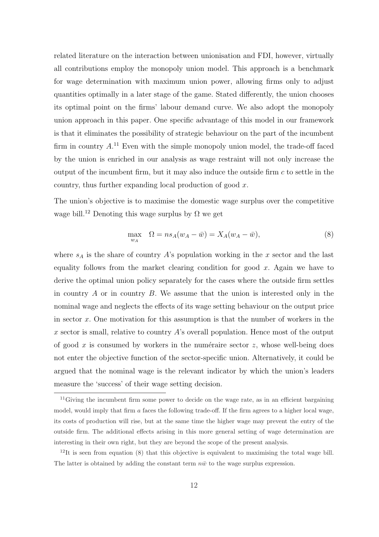related literature on the interaction between unionisation and FDI, however, virtually all contributions employ the monopoly union model. This approach is a benchmark for wage determination with maximum union power, allowing firms only to adjust quantities optimally in a later stage of the game. Stated differently, the union chooses its optimal point on the firms' labour demand curve. We also adopt the monopoly union approach in this paper. One specific advantage of this model in our framework is that it eliminates the possibility of strategic behaviour on the part of the incumbent firm in country  $A^{11}$  Even with the simple monopoly union model, the trade-off faced by the union is enriched in our analysis as wage restraint will not only increase the output of the incumbent firm, but it may also induce the outside firm  $c$  to settle in the country, thus further expanding local production of good x.

The union's objective is to maximise the domestic wage surplus over the competitive wage bill.<sup>12</sup> Denoting this wage surplus by  $\Omega$  we get

$$
\max_{w_A} \quad \Omega = n s_A (w_A - \bar{w}) = X_A (w_A - \bar{w}), \tag{8}
$$

where  $s_A$  is the share of country A's population working in the x sector and the last equality follows from the market clearing condition for good  $x$ . Again we have to derive the optimal union policy separately for the cases where the outside firm settles in country  $A$  or in country  $B$ . We assume that the union is interested only in the nominal wage and neglects the effects of its wage setting behaviour on the output price in sector  $x$ . One motivation for this assumption is that the number of workers in the x sector is small, relative to country  $\hat{A}$ 's overall population. Hence most of the output of good x is consumed by workers in the numéraire sector  $z$ , whose well-being does not enter the objective function of the sector-specific union. Alternatively, it could be argued that the nominal wage is the relevant indicator by which the union's leaders measure the 'success' of their wage setting decision.

<sup>&</sup>lt;sup>11</sup>Giving the incumbent firm some power to decide on the wage rate, as in an efficient bargaining model, would imply that firm  $a$  faces the following trade-off. If the firm agrees to a higher local wage, its costs of production will rise, but at the same time the higher wage may prevent the entry of the outside firm. The additional effects arising in this more general setting of wage determination are interesting in their own right, but they are beyond the scope of the present analysis.

 $12$ It is seen from equation (8) that this objective is equivalent to maximising the total wage bill. The latter is obtained by adding the constant term  $n\bar{w}$  to the wage surplus expression.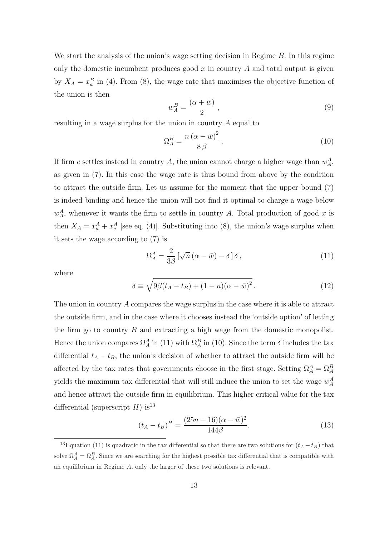We start the analysis of the union's wage setting decision in Regime B. In this regime only the domestic incumbent produces good  $x$  in country  $A$  and total output is given by  $X_A = x_a^B$  in (4). From (8), the wage rate that maximises the objective function of the union is then

$$
w_A^B = \frac{(\alpha + \bar{w})}{2} \,,\tag{9}
$$

resulting in a wage surplus for the union in country A equal to

$$
\Omega_A^B = \frac{n\left(\alpha - \bar{w}\right)^2}{8\,\beta} \,. \tag{10}
$$

If firm c settles instead in country A, the union cannot charge a higher wage than  $w_A^A$ , as given in (7). In this case the wage rate is thus bound from above by the condition to attract the outside firm. Let us assume for the moment that the upper bound (7) is indeed binding and hence the union will not find it optimal to charge a wage below  $w_A^A$ , whenever it wants the firm to settle in country A. Total production of good x is then  $X_A = x_a^A + x_c^A$  [see eq. (4)]. Substituting into (8), the union's wage surplus when it sets the wage according to (7) is

$$
\Omega_A^A = \frac{2}{3\beta} \left[ \sqrt{n} \left( \alpha - \bar{w} \right) - \delta \right] \delta \,, \tag{11}
$$

where

$$
\delta \equiv \sqrt{9\beta(t_A - t_B) + (1 - n)(\alpha - \bar{w})^2}.
$$
\n(12)

The union in country A compares the wage surplus in the case where it is able to attract the outside firm, and in the case where it chooses instead the 'outside option' of letting the firm go to country  $B$  and extracting a high wage from the domestic monopolist. Hence the union compares  $\Omega_A^A$  in (11) with  $\Omega_A^B$  in (10). Since the term  $\delta$  includes the tax differential  $t_A - t_B$ , the union's decision of whether to attract the outside firm will be affected by the tax rates that governments choose in the first stage. Setting  $\Omega_A^A = \Omega_A^B$ yields the maximum tax differential that will still induce the union to set the wage  $w_A^A$ and hence attract the outside firm in equilibrium. This higher critical value for the tax differential (superscript  $H$ ) is<sup>13</sup>

$$
(t_A - t_B)^H = \frac{(25n - 16)(\alpha - \bar{w})^2}{144\beta}.
$$
\n(13)

<sup>&</sup>lt;sup>13</sup>Equation (11) is quadratic in the tax differential so that there are two solutions for  $(t_A - t_B)$  that solve  $\Omega_A^A = \Omega_A^B$ . Since we are searching for the highest possible tax differential that is compatible with an equilibrium in Regime A, only the larger of these two solutions is relevant.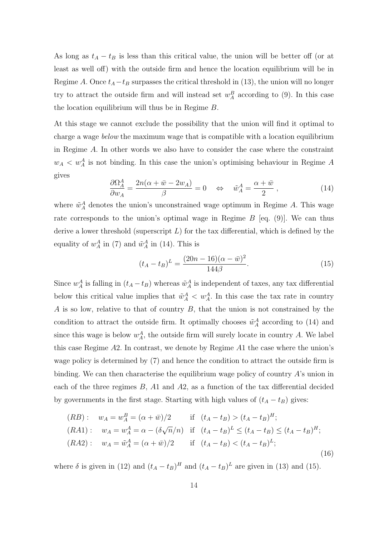As long as  $t_A - t_B$  is less than this critical value, the union will be better off (or at least as well off) with the outside firm and hence the location equilibrium will be in Regime A. Once  $t_A - t_B$  surpasses the critical threshold in (13), the union will no longer try to attract the outside firm and will instead set  $w_A^B$  according to (9). In this case the location equilibrium will thus be in Regime B.

At this stage we cannot exclude the possibility that the union will find it optimal to charge a wage below the maximum wage that is compatible with a location equilibrium in Regime A. In other words we also have to consider the case where the constraint  $w_A < w_A^A$  is not binding. In this case the union's optimising behaviour in Regime A gives

$$
\frac{\partial \Omega_A^A}{\partial w_A} = \frac{2n(\alpha + \bar{w} - 2w_A)}{\beta} = 0 \quad \Leftrightarrow \quad \tilde{w}_A^A = \frac{\alpha + \bar{w}}{2} \,, \tag{14}
$$

where  $\tilde{w}_A^A$  denotes the union's unconstrained wage optimum in Regime A. This wage rate corresponds to the union's optimal wage in Regime  $B$  [eq. (9)]. We can thus derive a lower threshold (superscript  $L$ ) for the tax differential, which is defined by the equality of  $w_A^A$  in (7) and  $\tilde{w}_A^A$  in (14). This is

$$
(t_A - t_B)^L = \frac{(20n - 16)(\alpha - \bar{w})^2}{144\beta}.
$$
\n(15)

Since  $w_A^A$  is falling in  $(t_A - t_B)$  whereas  $\tilde{w}_A^A$  is independent of taxes, any tax differential below this critical value implies that  $\tilde{w}_A^A < w_A^A$ . In this case the tax rate in country  $A$  is so low, relative to that of country  $B$ , that the union is not constrained by the condition to attract the outside firm. It optimally chooses  $\tilde{w}_{A}^{A}$  according to (14) and since this wage is below  $w_A^A$ , the outside firm will surely locate in country A. We label this case Regime A2. In contrast, we denote by Regime A1 the case where the union's wage policy is determined by (7) and hence the condition to attract the outside firm is binding. We can then characterise the equilibrium wage policy of country  $A$ 's union in each of the three regimes B, A1 and A2, as a function of the tax differential decided by governments in the first stage. Starting with high values of  $(t_A - t_B)$  gives:

$$
(RB): \t w_A = w_A^B = (\alpha + \bar{w})/2 \t\t \text{if} \t (t_A - t_B) > (t_A - t_B)^H;
$$
  
\n
$$
(RA1): \t w_A = w_A^A = \alpha - (\delta \sqrt{n}/n) \t\t \text{if} \t (t_A - t_B)^L \le (t_A - t_B) \le (t_A - t_B)^H;
$$
  
\n
$$
(RA2): \t w_A = \tilde{w}_A^A = (\alpha + \bar{w})/2 \t\t \text{if} \t (t_A - t_B) < (t_A - t_B)^L;
$$
  
\n
$$
(16)
$$

where  $\delta$  is given in (12) and  $(t_A - t_B)^H$  and  $(t_A - t_B)^L$  are given in (13) and (15).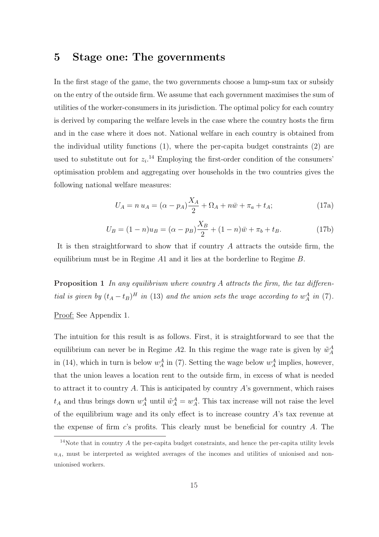### 5 Stage one: The governments

In the first stage of the game, the two governments choose a lump-sum tax or subsidy on the entry of the outside firm. We assume that each government maximises the sum of utilities of the worker-consumers in its jurisdiction. The optimal policy for each country is derived by comparing the welfare levels in the case where the country hosts the firm and in the case where it does not. National welfare in each country is obtained from the individual utility functions (1), where the per-capita budget constraints (2) are used to substitute out for  $z_i$ <sup>14</sup> Employing the first-order condition of the consumers' optimisation problem and aggregating over households in the two countries gives the following national welfare measures:

$$
U_A = n u_A = (\alpha - p_A) \frac{X_A}{2} + \Omega_A + n \bar{w} + \pi_a + t_A;
$$
 (17a)

$$
U_B = (1 - n)u_B = (\alpha - p_B)\frac{X_B}{2} + (1 - n)\bar{w} + \pi_b + t_B.
$$
 (17b)

It is then straightforward to show that if country A attracts the outside firm, the equilibrium must be in Regime A1 and it lies at the borderline to Regime B.

**Proposition 1** In any equilibrium where country A attracts the firm, the tax differential is given by  $(t_A - t_B)^H$  in (13) and the union sets the wage according to  $w_A^A$  in (7).

#### Proof: See Appendix 1.

The intuition for this result is as follows. First, it is straightforward to see that the equilibrium can never be in Regime A2. In this regime the wage rate is given by  $\tilde{w}_A^A$ in (14), which in turn is below  $w_A^A$  in (7). Setting the wage below  $w_A^A$  implies, however, that the union leaves a location rent to the outside firm, in excess of what is needed to attract it to country A. This is anticipated by country A's government, which raises  $t_A$  and thus brings down  $w_A^A$  until  $\tilde{w}_A^A = w_A^A$ . This tax increase will not raise the level of the equilibrium wage and its only effect is to increase country  $A$ 's tax revenue at the expense of firm  $c$ 's profits. This clearly must be beneficial for country  $A$ . The

 $14$ Note that in country A the per-capita budget constraints, and hence the per-capita utility levels  $u_A$ , must be interpreted as weighted averages of the incomes and utilities of unionised and nonunionised workers.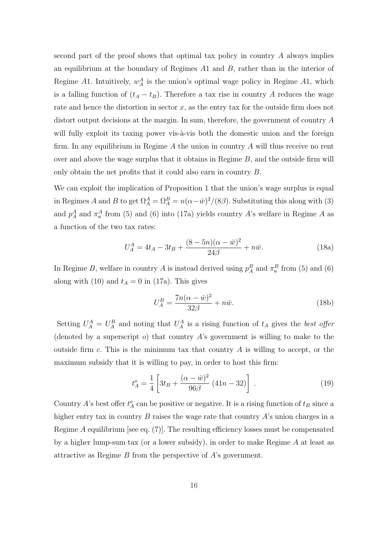second part of the proof shows that optimal tax policy in country A always implies an equilibrium at the boundary of Regimes  $A1$  and  $B$ , rather than in the interior of Regime A1. Intuitively,  $w_A^A$  is the union's optimal wage policy in Regime A1, which is a falling function of  $(t_A - t_B)$ . Therefore a tax rise in country A reduces the wage rate and hence the distortion in sector  $x$ , as the entry tax for the outside firm does not distort output decisions at the margin. In sum, therefore, the government of country A will fully exploit its taxing power vis-à-vis both the domestic union and the foreign firm. In any equilibrium in Regime  $A$  the union in country  $A$  will thus receive no rent over and above the wage surplus that it obtains in Regime  $B$ , and the outside firm will only obtain the net profits that it could also earn in country B.

We can exploit the implication of Proposition 1 that the union's wage surplus is equal in Regimes A and B to get  $\Omega_A^A = \Omega_A^B = n(\alpha - \bar{w})^2/(8\beta)$ . Substituting this along with (3) and  $p_A^A$  and  $\pi_a^A$  from (5) and (6) into (17a) yields country A's welfare in Regime A as a function of the two tax rates:

$$
U_A^A = 4t_A - 3t_B + \frac{(8 - 5n)(\alpha - \bar{w})^2}{24\beta} + n\bar{w}.
$$
 (18a)

In Regime B, welfare in country A is instead derived using  $p_A^B$  and  $\pi_a^B$  from (5) and (6) along with (10) and  $t_A = 0$  in (17a). This gives

$$
U_A^B = \frac{7n(\alpha - \bar{w})^2}{32\beta} + n\bar{w}.\tag{18b}
$$

Setting  $U_A^A = U_A^B$  and noting that  $U_A^A$  is a rising function of  $t_A$  gives the *best offer* (denoted by a superscript  $o$ ) that country  $A$ 's government is willing to make to the outside firm c. This is the minimum tax that country  $A$  is willing to accept, or the maximum subsidy that it is willing to pay, in order to host this firm:

$$
t_A^o = \frac{1}{4} \left[ 3t_B + \frac{(\alpha - \bar{w})^2}{96\beta} (41n - 32) \right] \,. \tag{19}
$$

Country A's best offer  $t_A^o$  can be positive or negative. It is a rising function of  $t_B$  since a higher entry tax in country  $B$  raises the wage rate that country  $A$ 's union charges in a Regime A equilibrium [see eq.  $(7)$ ]. The resulting efficiency losses must be compensated by a higher lump-sum tax (or a lower subsidy), in order to make Regime A at least as attractive as Regime B from the perspective of A's government.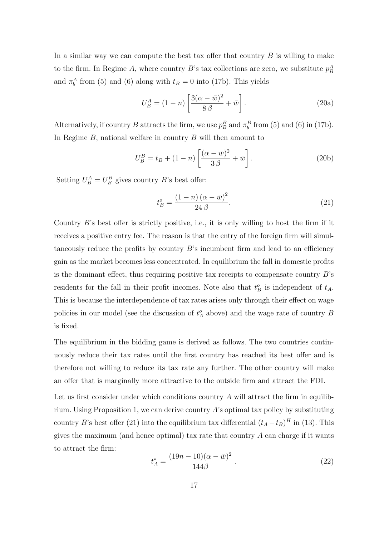In a similar way we can compute the best tax offer that country  $B$  is willing to make to the firm. In Regime A, where country B's tax collections are zero, we substitute  $p_B^A$ and  $\pi_b^A$  from (5) and (6) along with  $t_B = 0$  into (17b). This yields

$$
U_B^A = (1 - n) \left[ \frac{3(\alpha - \bar{w})^2}{8\beta} + \bar{w} \right].
$$
 (20a)

Alternatively, if country B attracts the firm, we use  $p_B^B$  and  $\pi_b^B$  from (5) and (6) in (17b). In Regime  $B$ , national welfare in country  $B$  will then amount to

$$
U_B^B = t_B + (1 - n) \left[ \frac{(\alpha - \bar{w})^2}{3\beta} + \bar{w} \right].
$$
 (20b)

Setting  $U_B^A = U_B^B$  gives country B's best offer:

$$
t_B^o = \frac{(1-n)(\alpha - \bar{w})^2}{24\beta}.
$$
\n
$$
(21)
$$

Country B's best offer is strictly positive, i.e., it is only willing to host the firm if it receives a positive entry fee. The reason is that the entry of the foreign firm will simultaneously reduce the profits by country  $B$ 's incumbent firm and lead to an efficiency gain as the market becomes less concentrated. In equilibrium the fall in domestic profits is the dominant effect, thus requiring positive tax receipts to compensate country  $B$ 's residents for the fall in their profit incomes. Note also that  $t_B^o$  is independent of  $t_A$ . This is because the interdependence of tax rates arises only through their effect on wage policies in our model (see the discussion of  $t_A^o$  above) and the wage rate of country B is fixed.

The equilibrium in the bidding game is derived as follows. The two countries continuously reduce their tax rates until the first country has reached its best offer and is therefore not willing to reduce its tax rate any further. The other country will make an offer that is marginally more attractive to the outside firm and attract the FDI.

Let us first consider under which conditions country  $A$  will attract the firm in equilibrium. Using Proposition 1, we can derive country  $A$ 's optimal tax policy by substituting country B's best offer (21) into the equilibrium tax differential  $(t_A - t_B)^H$  in (13). This gives the maximum (and hence optimal) tax rate that country  $A$  can charge if it wants to attract the firm:

$$
t_A^* = \frac{(19n - 10)(\alpha - \bar{w})^2}{144\beta} \,. \tag{22}
$$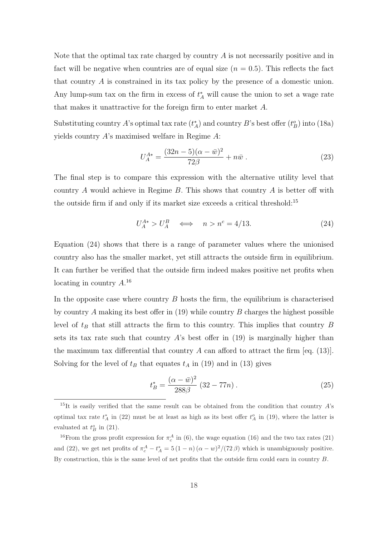Note that the optimal tax rate charged by country  $A$  is not necessarily positive and in fact will be negative when countries are of equal size  $(n = 0.5)$ . This reflects the fact that country A is constrained in its tax policy by the presence of a domestic union. Any lump-sum tax on the firm in excess of  $t_A^*$  will cause the union to set a wage rate that makes it unattractive for the foreign firm to enter market A.

Substituting country A's optimal tax rate  $(t_A^*)$  and country B's best offer  $(t_B^o)$  into (18a) yields country A's maximised welfare in Regime A:

$$
U_A^{A*} = \frac{(32n - 5)(\alpha - \bar{w})^2}{72\beta} + n\bar{w} \,. \tag{23}
$$

The final step is to compare this expression with the alternative utility level that country A would achieve in Regime  $B$ . This shows that country  $A$  is better off with the outside firm if and only if its market size exceeds a critical threshold:<sup>15</sup>

$$
U_A^{A*} > U_A^B \iff n > n^c = 4/13. \tag{24}
$$

Equation (24) shows that there is a range of parameter values where the unionised country also has the smaller market, yet still attracts the outside firm in equilibrium. It can further be verified that the outside firm indeed makes positive net profits when locating in country  $A^{16}$ 

In the opposite case where country  $B$  hosts the firm, the equilibrium is characterised by country A making its best offer in  $(19)$  while country B charges the highest possible level of  $t_B$  that still attracts the firm to this country. This implies that country B sets its tax rate such that country  $A$ 's best offer in (19) is marginally higher than the maximum tax differential that country A can afford to attract the firm [eq. (13)]. Solving for the level of  $t_B$  that equates  $t_A$  in (19) and in (13) gives

$$
t_B^* = \frac{(\alpha - \bar{w})^2}{288\beta} (32 - 77n). \tag{25}
$$

<sup>&</sup>lt;sup>15</sup>It is easily verified that the same result can be obtained from the condition that country A's optimal tax rate  $t_A^*$  in (22) must be at least as high as its best offer  $t_A^o$  in (19), where the latter is evaluated at  $t_B^o$  in (21).

<sup>&</sup>lt;sup>16</sup>From the gross profit expression for  $\pi_c^A$  in (6), the wage equation (16) and the two tax rates (21) and (22), we get net profits of  $\pi_c^A - t_A^* = 5(1 - n)(\alpha - w)^2/(72 \beta)$  which is unambiguously positive. By construction, this is the same level of net profits that the outside firm could earn in country B.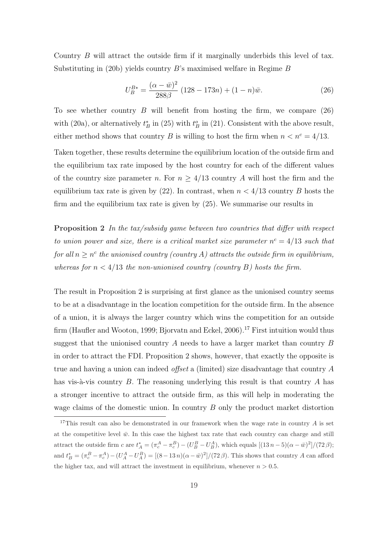Country B will attract the outside firm if it marginally underbids this level of tax. Substituting in  $(20b)$  yields country B's maximised welfare in Regime B

$$
U_B^{B*} = \frac{(\alpha - \bar{w})^2}{288\beta} (128 - 173n) + (1 - n)\bar{w}.
$$
 (26)

To see whether country  $B$  will benefit from hosting the firm, we compare  $(26)$ with (20a), or alternatively  $t_B^*$  in (25) with  $t_B^o$  in (21). Consistent with the above result, either method shows that country B is willing to host the firm when  $n < n^c = 4/13$ .

Taken together, these results determine the equilibrium location of the outside firm and the equilibrium tax rate imposed by the host country for each of the different values of the country size parameter n. For  $n \geq 4/13$  country A will host the firm and the equilibrium tax rate is given by  $(22)$ . In contrast, when  $n < 4/13$  country B hosts the firm and the equilibrium tax rate is given by (25). We summarise our results in

**Proposition 2** In the tax/subsidy game between two countries that differ with respect to union power and size, there is a critical market size parameter  $n^c = 4/13$  such that for all  $n \geq n^c$  the unionised country (country A) attracts the outside firm in equilibrium, whereas for  $n < 4/13$  the non-unionised country (country B) hosts the firm.

The result in Proposition 2 is surprising at first glance as the unionised country seems to be at a disadvantage in the location competition for the outside firm. In the absence of a union, it is always the larger country which wins the competition for an outside firm (Haufler and Wooton, 1999; Bjorvatn and Eckel, 2006).<sup>17</sup> First intuition would thus suggest that the unionised country  $A$  needs to have a larger market than country  $B$ in order to attract the FDI. Proposition 2 shows, however, that exactly the opposite is true and having a union can indeed *offset* a (limited) size disadvantage that country  $A$ has vis- $\alpha$ -vis country B. The reasoning underlying this result is that country A has a stronger incentive to attract the outside firm, as this will help in moderating the wage claims of the domestic union. In country B only the product market distortion

<sup>&</sup>lt;sup>17</sup>This result can also be demonstrated in our framework when the wage rate in country  $A$  is set at the competitive level  $\bar{w}$ . In this case the highest tax rate that each country can charge and still attract the outside firm  $c$  are  $t_A^* = (\pi_c^A - \pi_c^B) - (U_B^B - U_B^A)$ , which equals  $[(13 n - 5)(\alpha - \bar{w})^2]/(72 \beta)$ ; and  $t_B^* = (\pi_c^B - \pi_c^A) - (U_A^A - U_A^B) = [(8 - 13 n)(\alpha - \bar{w})^2]/(72 \beta)$ . This shows that country A can afford the higher tax, and will attract the investment in equilibrium, whenever  $n > 0.5$ .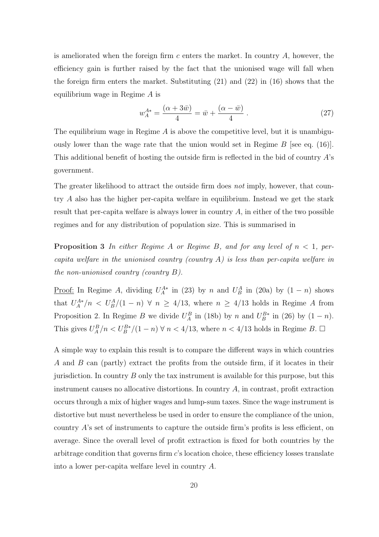is ameliorated when the foreign firm c enters the market. In country  $A$ , however, the efficiency gain is further raised by the fact that the unionised wage will fall when the foreign firm enters the market. Substituting (21) and (22) in (16) shows that the equilibrium wage in Regime A is

$$
w_A^{A*} = \frac{(\alpha + 3\bar{w})}{4} = \bar{w} + \frac{(\alpha - \bar{w})}{4} \,. \tag{27}
$$

The equilibrium wage in Regime  $\tilde{A}$  is above the competitive level, but it is unambiguously lower than the wage rate that the union would set in Regime  $B$  [see eq. (16)]. This additional benefit of hosting the outside firm is reflected in the bid of country  $A$ 's government.

The greater likelihood to attract the outside firm does not imply, however, that country A also has the higher per-capita welfare in equilibrium. Instead we get the stark result that per-capita welfare is always lower in country  $A$ , in either of the two possible regimes and for any distribution of population size. This is summarised in

**Proposition 3** In either Regime A or Regime B, and for any level of  $n < 1$ , percapita welfare in the unionised country (country  $A$ ) is less than per-capita welfare in the non-unionised country (country  $B$ ).

<u>Proof:</u> In Regime A, dividing  $U_A^{A*}$  in (23) by n and  $U_B^A$  in (20a) by  $(1 - n)$  shows that  $U_A^{A*}/n \langle U_B^A/(1-n) \ \forall \ n \geq 4/13$ , where  $n \geq 4/13$  holds in Regime A from Proposition 2. In Regime B we divide  $U_A^B$  in (18b) by n and  $U_B^{B*}$  in (26) by  $(1 - n)$ . This gives  $U_A^B/n < U_B^{B*}/(1-n)$   $\forall n < 4/13$ , where  $n < 4/13$  holds in Regime B.  $\Box$ 

A simple way to explain this result is to compare the different ways in which countries A and B can (partly) extract the profits from the outside firm, if it locates in their jurisdiction. In country  $B$  only the tax instrument is available for this purpose, but this instrument causes no allocative distortions. In country A, in contrast, profit extraction occurs through a mix of higher wages and lump-sum taxes. Since the wage instrument is distortive but must nevertheless be used in order to ensure the compliance of the union, country A's set of instruments to capture the outside firm's profits is less efficient, on average. Since the overall level of profit extraction is fixed for both countries by the arbitrage condition that governs firm c's location choice, these efficiency losses translate into a lower per-capita welfare level in country A.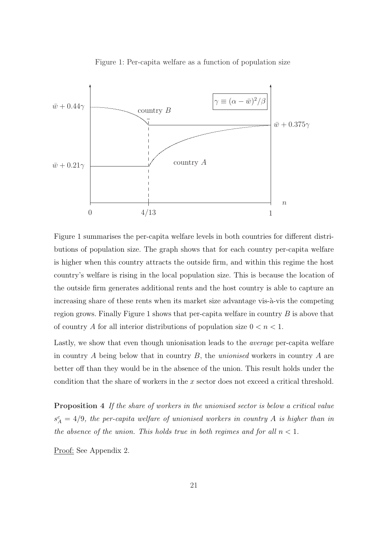

Figure 1: Per-capita welfare as a function of population size

Figure 1 summarises the per-capita welfare levels in both countries for different distributions of population size. The graph shows that for each country per-capita welfare is higher when this country attracts the outside firm, and within this regime the host country's welfare is rising in the local population size. This is because the location of the outside firm generates additional rents and the host country is able to capture an increasing share of these rents when its market size advantage vis- $\lambda$ -vis the competing region grows. Finally Figure 1 shows that per-capita welfare in country  $B$  is above that of country A for all interior distributions of population size  $0 < n < 1$ .

Lastly, we show that even though unionisation leads to the average per-capita welfare in country  $A$  being below that in country  $B$ , the *unionised* workers in country  $A$  are better off than they would be in the absence of the union. This result holds under the condition that the share of workers in the x sector does not exceed a critical threshold.

Proposition 4 If the share of workers in the unionised sector is below a critical value  $s_A^c = 4/9$ , the per-capita welfare of unionised workers in country A is higher than in the absence of the union. This holds true in both regimes and for all  $n < 1$ .

Proof: See Appendix 2.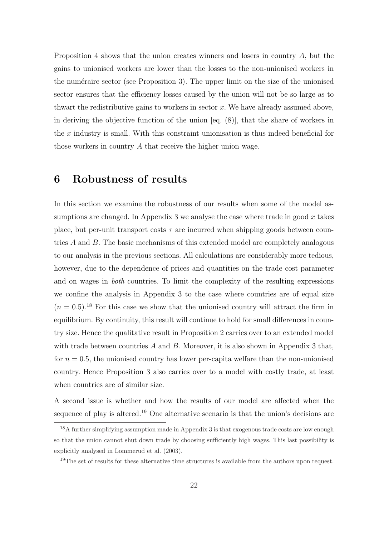Proposition 4 shows that the union creates winners and losers in country A, but the gains to unionised workers are lower than the losses to the non-unionised workers in the numéraire sector (see Proposition 3). The upper limit on the size of the unionised sector ensures that the efficiency losses caused by the union will not be so large as to thwart the redistributive gains to workers in sector  $x$ . We have already assumed above, in deriving the objective function of the union [eq. (8)], that the share of workers in the  $x$  industry is small. With this constraint unionisation is thus indeed beneficial for those workers in country A that receive the higher union wage.

### 6 Robustness of results

In this section we examine the robustness of our results when some of the model assumptions are changed. In Appendix 3 we analyse the case where trade in good  $x$  takes place, but per-unit transport costs  $\tau$  are incurred when shipping goods between countries A and B. The basic mechanisms of this extended model are completely analogous to our analysis in the previous sections. All calculations are considerably more tedious, however, due to the dependence of prices and quantities on the trade cost parameter and on wages in both countries. To limit the complexity of the resulting expressions we confine the analysis in Appendix 3 to the case where countries are of equal size  $(n = 0.5).$ <sup>18</sup> For this case we show that the unionised country will attract the firm in equilibrium. By continuity, this result will continue to hold for small differences in country size. Hence the qualitative result in Proposition 2 carries over to an extended model with trade between countries  $A$  and  $B$ . Moreover, it is also shown in Appendix 3 that, for  $n = 0.5$ , the unionised country has lower per-capita welfare than the non-unionised country. Hence Proposition 3 also carries over to a model with costly trade, at least when countries are of similar size.

A second issue is whether and how the results of our model are affected when the sequence of play is altered.<sup>19</sup> One alternative scenario is that the union's decisions are

<sup>&</sup>lt;sup>18</sup>A further simplifying assumption made in Appendix 3 is that exogenous trade costs are low enough so that the union cannot shut down trade by choosing sufficiently high wages. This last possibility is explicitly analysed in Lommerud et al. (2003).

<sup>&</sup>lt;sup>19</sup>The set of results for these alternative time structures is available from the authors upon request.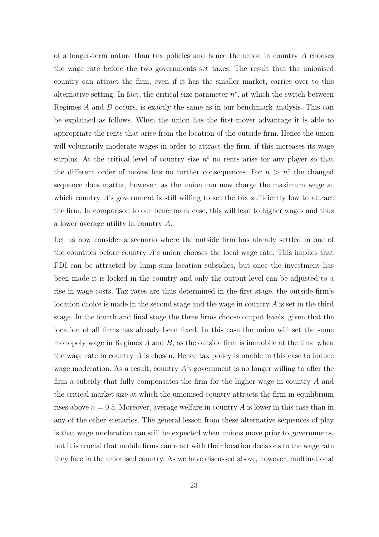of a longer-term nature than tax policies and hence the union in country  $A$  chooses the wage rate before the two governments set taxes. The result that the unionised country can attract the firm, even if it has the smaller market, carries over to this alternative setting. In fact, the critical size parameter  $n^c$ , at which the switch between Regimes  $A$  and  $B$  occurs, is exactly the same as in our benchmark analysis. This can be explained as follows. When the union has the first-mover advantage it is able to appropriate the rents that arise from the location of the outside firm. Hence the union will voluntarily moderate wages in order to attract the firm, if this increases its wage surplus. At the critical level of country size  $n<sup>c</sup>$  no rents arise for any player so that the different order of moves has no further consequences. For  $n > n^c$  the changed sequence does matter, however, as the union can now charge the maximum wage at which country A's government is still willing to set the tax sufficiently low to attract the firm. In comparison to our benchmark case, this will lead to higher wages and thus a lower average utility in country A.

Let us now consider a scenario where the outside firm has already settled in one of the countries before country  $A$ 's union chooses the local wage rate. This implies that FDI can be attracted by lump-sum location subsidies, but once the investment has been made it is locked in the country and only the output level can be adjusted to a rise in wage costs. Tax rates are thus determined in the first stage, the outside firm's location choice is made in the second stage and the wage in country A is set in the third stage. In the fourth and final stage the three firms choose output levels, given that the location of all firms has already been fixed. In this case the union will set the same monopoly wage in Regimes  $A$  and  $B$ , as the outside firm is immobile at the time when the wage rate in country  $\tilde{A}$  is chosen. Hence tax policy is unable in this case to induce wage moderation. As a result, country  $A$ 's government is no longer willing to offer the firm a subsidy that fully compensates the firm for the higher wage in country A and the critical market size at which the unionised country attracts the firm in equilibrium rises above  $n = 0.5$ . Moreover, average welfare in country A is lower in this case than in any of the other scenarios. The general lesson from these alternative sequences of play is that wage moderation can still be expected when unions move prior to governments, but it is crucial that mobile firms can react with their location decisions to the wage rate they face in the unionised country. As we have discussed above, however, multinational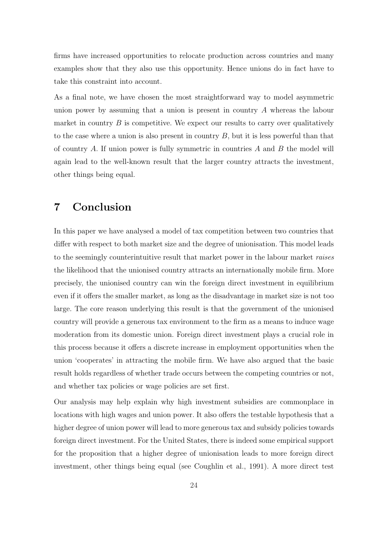firms have increased opportunities to relocate production across countries and many examples show that they also use this opportunity. Hence unions do in fact have to take this constraint into account.

As a final note, we have chosen the most straightforward way to model asymmetric union power by assuming that a union is present in country A whereas the labour market in country  $B$  is competitive. We expect our results to carry over qualitatively to the case where a union is also present in country  $B$ , but it is less powerful than that of country A. If union power is fully symmetric in countries  $A$  and  $B$  the model will again lead to the well-known result that the larger country attracts the investment, other things being equal.

### 7 Conclusion

In this paper we have analysed a model of tax competition between two countries that differ with respect to both market size and the degree of unionisation. This model leads to the seemingly counterintuitive result that market power in the labour market raises the likelihood that the unionised country attracts an internationally mobile firm. More precisely, the unionised country can win the foreign direct investment in equilibrium even if it offers the smaller market, as long as the disadvantage in market size is not too large. The core reason underlying this result is that the government of the unionised country will provide a generous tax environment to the firm as a means to induce wage moderation from its domestic union. Foreign direct investment plays a crucial role in this process because it offers a discrete increase in employment opportunities when the union 'cooperates' in attracting the mobile firm. We have also argued that the basic result holds regardless of whether trade occurs between the competing countries or not, and whether tax policies or wage policies are set first.

Our analysis may help explain why high investment subsidies are commonplace in locations with high wages and union power. It also offers the testable hypothesis that a higher degree of union power will lead to more generous tax and subsidy policies towards foreign direct investment. For the United States, there is indeed some empirical support for the proposition that a higher degree of unionisation leads to more foreign direct investment, other things being equal (see Coughlin et al., 1991). A more direct test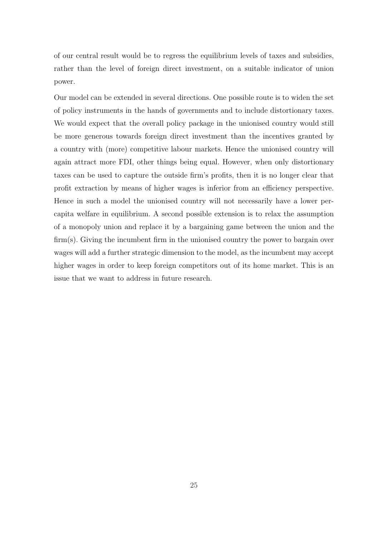of our central result would be to regress the equilibrium levels of taxes and subsidies, rather than the level of foreign direct investment, on a suitable indicator of union power.

Our model can be extended in several directions. One possible route is to widen the set of policy instruments in the hands of governments and to include distortionary taxes. We would expect that the overall policy package in the unionised country would still be more generous towards foreign direct investment than the incentives granted by a country with (more) competitive labour markets. Hence the unionised country will again attract more FDI, other things being equal. However, when only distortionary taxes can be used to capture the outside firm's profits, then it is no longer clear that profit extraction by means of higher wages is inferior from an efficiency perspective. Hence in such a model the unionised country will not necessarily have a lower percapita welfare in equilibrium. A second possible extension is to relax the assumption of a monopoly union and replace it by a bargaining game between the union and the firm(s). Giving the incumbent firm in the unionised country the power to bargain over wages will add a further strategic dimension to the model, as the incumbent may accept higher wages in order to keep foreign competitors out of its home market. This is an issue that we want to address in future research.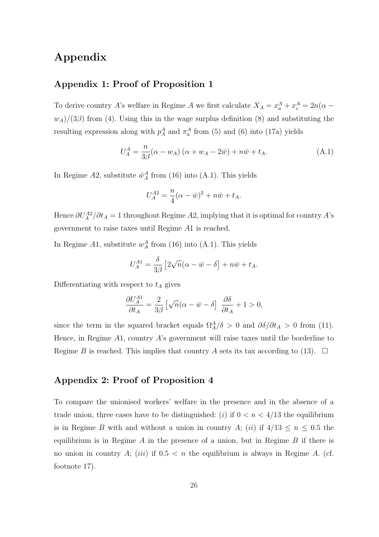### Appendix

#### Appendix 1: Proof of Proposition 1

To derive country A's welfare in Regime A we first calculate  $X_A = x_a^A + x_c^A = 2n(\alpha$  $w_A$ /(3 $\beta$ ) from (4). Using this in the wage surplus definition (8) and substituting the resulting expression along with  $p_A^A$  and  $\pi_a^A$  from (5) and (6) into (17a) yields

$$
U_A^A = \frac{n}{3\beta} (\alpha - w_A) (\alpha + w_A - 2\bar{w}) + n\bar{w} + t_A.
$$
 (A.1)

In Regime  $A2$ , substitute  $\tilde{w}_A^A$  from (16) into (A.1). This yields

$$
U_A^{A2} = \frac{n}{4}(\alpha - \bar{w})^2 + n\bar{w} + t_A.
$$

Hence  $\partial U_A^{A2}/\partial t_A = 1$  throughout Regime A2, implying that it is optimal for country A's government to raise taxes until Regime A1 is reached.

In Regime  $A1$ , substitute  $w_A^A$  from (16) into (A.1). This yields

$$
U_A^{A1} = \frac{\delta}{3\beta} \left[ 2\sqrt{n}(\alpha - \bar{w} - \delta) + n\bar{w} + t_A \right].
$$

Differentiating with respect to  $t_A$  gives

$$
\frac{\partial U_A^{A1}}{\partial t_A} = \frac{2}{3\beta} \left[ \sqrt{n}(\alpha - \bar{w} - \delta) \right] \frac{\partial \delta}{\partial t_A} + 1 > 0,
$$

since the term in the squared bracket equals  $\Omega_A^A/\delta > 0$  and  $\partial \delta/\partial t_A > 0$  from (11). Hence, in Regime A1, country A's government will raise taxes until the borderline to Regime B is reached. This implies that country A sets its tax according to (13).  $\Box$ 

### Appendix 2: Proof of Proposition 4

To compare the unionised workers' welfare in the presence and in the absence of a trade union, three cases have to be distinguished: (i) if  $0 < n < 4/13$  the equilibrium is in Regime B with and without a union in country A; (ii) if  $4/13 \le n \le 0.5$  the equilibrium is in Regime  $A$  in the presence of a union, but in Regime  $B$  if there is no union in country A; (iii) if  $0.5 < n$  the equilibrium is always in Regime A. (cf. footnote 17).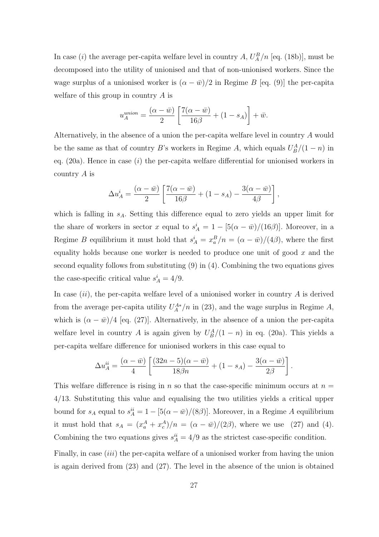In case (*i*) the average per-capita welfare level in country  $A$ ,  $U_A^B/n$  [eq. (18b)], must be decomposed into the utility of unionised and that of non-unionised workers. Since the wage surplus of a unionised worker is  $(\alpha - \bar{w})/2$  in Regime B [eq. (9)] the per-capita welfare of this group in country A is

$$
u_A^{union} = \frac{(\alpha - \bar{w})}{2} \left[ \frac{7(\alpha - \bar{w})}{16\beta} + (1 - s_A) \right] + \bar{w}.
$$

Alternatively, in the absence of a union the per-capita welfare level in country A would be the same as that of country B's workers in Regime A, which equals  $U_B^A/(1-n)$  in eq.  $(20a)$ . Hence in case  $(i)$  the per-capita welfare differential for unionised workers in country A is

$$
\Delta u_A^i = \frac{(\alpha - \bar{w})}{2} \left[ \frac{7(\alpha - \bar{w})}{16\beta} + (1 - s_A) - \frac{3(\alpha - \bar{w})}{4\beta} \right],
$$

which is falling in  $s_A$ . Setting this difference equal to zero yields an upper limit for the share of workers in sector x equal to  $s_A^i = 1 - [5(\alpha - \bar{w})/(16\beta)]$ . Moreover, in a Regime B equilibrium it must hold that  $s_A^i = x_a^B/n = (\alpha - \bar{w})/(4\beta)$ , where the first equality holds because one worker is needed to produce one unit of good  $x$  and the second equality follows from substituting (9) in (4). Combining the two equations gives the case-specific critical value  $s_A^i = 4/9$ .

In case  $(ii)$ , the per-capita welfare level of a unionised worker in country A is derived from the average per-capita utility  $U_A^{A*}/n$  in (23), and the wage surplus in Regime A, which is  $(\alpha - \bar{w})/4$  [eq. (27)]. Alternatively, in the absence of a union the per-capita welfare level in country A is again given by  $U_B^A/(1-n)$  in eq. (20a). This yields a per-capita welfare difference for unionised workers in this case equal to

$$
\Delta u_A^{ii} = \frac{(\alpha - \bar{w})}{4} \left[ \frac{(32n - 5)(\alpha - \bar{w})}{18\beta n} + (1 - s_A) - \frac{3(\alpha - \bar{w})}{2\beta} \right]
$$

.

This welfare difference is rising in n so that the case-specific minimum occurs at  $n =$ 4/13. Substituting this value and equalising the two utilities yields a critical upper bound for  $s_A$  equal to  $s_A^{ii} = 1 - [5(\alpha - \bar{w})/(8\beta)]$ . Moreover, in a Regime A equilibrium it must hold that  $s_A = (x_a^A + x_c^A)/n = (\alpha - \bar{w})/(2\beta)$ , where we use (27) and (4). Combining the two equations gives  $s_A^{ii} = 4/9$  as the strictest case-specific condition.

Finally, in case  $(iii)$  the per-capita welfare of a unionised worker from having the union is again derived from (23) and (27). The level in the absence of the union is obtained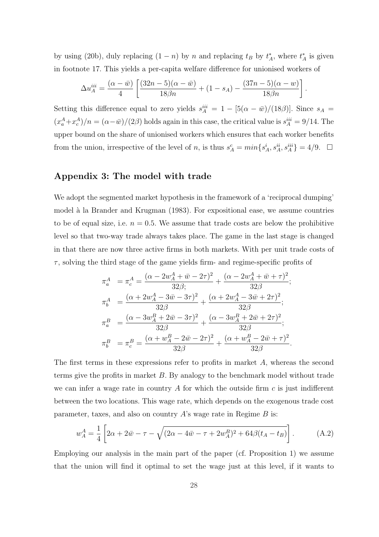by using (20b), duly replacing  $(1 - n)$  by n and replacing  $t_B$  by  $t_A^*$ , where  $t_A^*$  is given in footnote 17. This yields a per-capita welfare difference for unionised workers of

$$
\Delta u_{A}^{iii} = \frac{(\alpha - \bar{w})}{4} \left[ \frac{(32n - 5)(\alpha - \bar{w})}{18\beta n} + (1 - s_{A}) - \frac{(37n - 5)(\alpha - \bar{w})}{18\beta n} \right]
$$

.

Setting this difference equal to zero yields  $s_A^{iii} = 1 - [5(\alpha - \bar{w})/(18\beta)]$ . Since  $s_A =$  $(x_a^A + x_c^A)/n = (\alpha - \bar{w})/(2\beta)$  holds again in this case, the critical value is  $s_A^{iii} = 9/14$ . The upper bound on the share of unionised workers which ensures that each worker benefits from the union, irrespective of the level of n, is thus  $s_A^c = min\{s_A^i, s_A^{ii}, s_A^{iii}\} = 4/9$ .  $\Box$ 

#### Appendix 3: The model with trade

We adopt the segmented market hypothesis in the framework of a 'reciprocal dumping' model à la Brander and Krugman (1983). For expositional ease, we assume countries to be of equal size, i.e.  $n = 0.5$ . We assume that trade costs are below the prohibitive level so that two-way trade always takes place. The game in the last stage is changed in that there are now three active firms in both markets. With per unit trade costs of  $\tau$ , solving the third stage of the game yields firm- and regime-specific profits of

$$
\pi_a^A = \pi_c^A = \frac{(\alpha - 2w_A^A + \bar{w} - 2\tau)^2}{32\beta} + \frac{(\alpha - 2w_A^A + \bar{w} + \tau)^2}{32\beta};
$$
\n
$$
\pi_b^A = \frac{(\alpha + 2w_A^A - 3\bar{w} - 3\tau)^2}{32\beta} + \frac{(\alpha + 2w_A^A - 3\bar{w} + 2\tau)^2}{32\beta};
$$
\n
$$
\pi_a^B = \frac{(\alpha - 3w_A^B + 2\bar{w} - 3\tau)^2}{32\beta} + \frac{(\alpha - 3w_A^B + 2\bar{w} + 2\tau)^2}{32\beta};
$$
\n
$$
\pi_b^B = \pi_c^B = \frac{(\alpha + w_A^B - 2\bar{w} - 2\tau)^2}{32\beta} + \frac{(\alpha + w_A^B - 2\bar{w} + \tau)^2}{32\beta}.
$$

The first terms in these expressions refer to profits in market A, whereas the second terms give the profits in market  $B$ . By analogy to the benchmark model without trade we can infer a wage rate in country A for which the outside firm  $c$  is just indifferent between the two locations. This wage rate, which depends on the exogenous trade cost parameter, taxes, and also on country  $A$ 's wage rate in Regime  $B$  is:

$$
w_A^A = \frac{1}{4} \left[ 2\alpha + 2\bar{w} - \tau - \sqrt{(2\alpha - 4\bar{w} - \tau + 2w_A^B)^2 + 64\beta(t_A - t_B)} \right].
$$
 (A.2)

Employing our analysis in the main part of the paper (cf. Proposition 1) we assume that the union will find it optimal to set the wage just at this level, if it wants to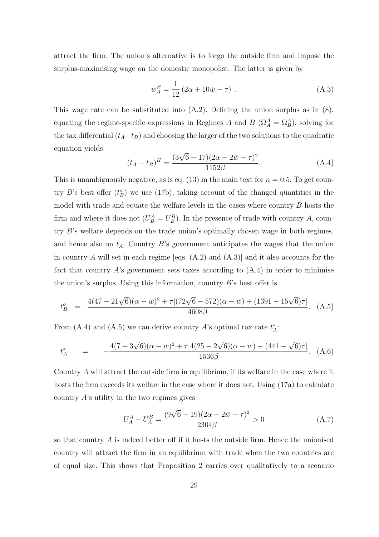attract the firm. The union's alternative is to forgo the outside firm and impose the surplus-maximising wage on the domestic monopolist. The latter is given by

$$
w_A^B = \frac{1}{12} (2\alpha + 10\bar{w} - \tau) \tag{A.3}
$$

This wage rate can be substituted into (A.2). Defining the union surplus as in (8), equating the regime-specific expressions in Regimes A and B  $(\Omega_A^A = \Omega_B^A)$ , solving for the tax differential  $(t_A-t_B)$  and choosing the larger of the two solutions to the quadratic equation yields

$$
(t_A - t_B)^H = \frac{(3\sqrt{6} - 17)(2\alpha - 2\bar{w} - \tau)^2}{1152\beta}.
$$
 (A.4)

This is unambiguously negative, as is eq.  $(13)$  in the main text for  $n = 0.5$ . To get country B's best offer  $(t_B^o)$  we use (17b), taking account of the changed quantities in the model with trade and equate the welfare levels in the cases where country  $B$  hosts the firm and where it does not  $(U_B^A = U_B^B)$ . In the presence of trade with country A, country B's welfare depends on the trade union's optimally chosen wage in both regimes, and hence also on  $t_A$ . Country B's government anticipates the wages that the union in country A will set in each regime [eqs.  $(A.2)$  and  $(A.3)$ ] and it also accounts for the fact that country  $A$ 's government sets taxes according to  $(A.4)$  in order to minimise the union's surplus. Using this information, country  $B$ 's best offer is

$$
t_B^o = \frac{4(47 - 21\sqrt{6})(\alpha - \bar{w})^2 + \tau[(72\sqrt{6} - 572)(\alpha - \bar{w}) + (1391 - 15\sqrt{6})\tau]}{4608\beta}.
$$
 (A.5)

From (A.4) and (A.5) we can derive country A's optimal tax rate  $t_A^*$ :

$$
t_A^* = -\frac{4(7+3\sqrt{6})(\alpha - \bar{w})^2 + \tau[4(25-2\sqrt{6})(\alpha - \bar{w}) - (441-\sqrt{6})\tau]}{1536\beta}.
$$
 (A.6)

Country A will attract the outside firm in equilibrium, if its welfare in the case where it hosts the firm exceeds its welfare in the case where it does not. Using (17a) to calculate country A's utility in the two regimes gives

$$
U_A^A - U_A^B = \frac{(9\sqrt{6} - 19)(2\alpha - 2\bar{w} - \tau)^2}{2304\beta} > 0
$$
 (A.7)

so that country  $\tilde{A}$  is indeed better off if it hosts the outside firm. Hence the unionised country will attract the firm in an equilibrium with trade when the two countries are of equal size. This shows that Proposition 2 carries over qualitatively to a scenario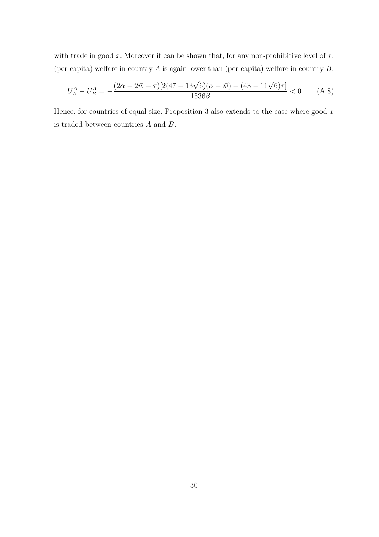with trade in good x. Moreover it can be shown that, for any non-prohibitive level of  $\tau$ , (per-capita) welfare in country  $A$  is again lower than (per-capita) welfare in country  $B$ :

$$
U_A^A - U_B^A = -\frac{(2\alpha - 2\bar{w} - \tau)[2(47 - 13\sqrt{6})(\alpha - \bar{w}) - (43 - 11\sqrt{6})\tau]}{1536\beta} < 0.
$$
 (A.8)

Hence, for countries of equal size, Proposition 3 also extends to the case where good  $x$ is traded between countries A and B.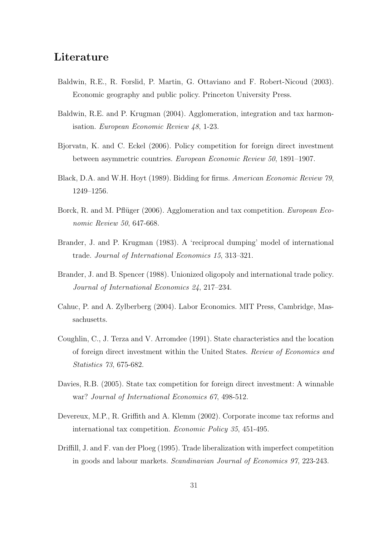### Literature

- Baldwin, R.E., R. Forslid, P. Martin, G. Ottaviano and F. Robert-Nicoud (2003). Economic geography and public policy. Princeton University Press.
- Baldwin, R.E. and P. Krugman (2004). Agglomeration, integration and tax harmonisation. European Economic Review 48, 1-23.
- Bjorvatn, K. and C. Eckel (2006). Policy competition for foreign direct investment between asymmetric countries. European Economic Review 50, 1891–1907.
- Black, D.A. and W.H. Hoyt (1989). Bidding for firms. American Economic Review 79, 1249–1256.
- Borck, R. and M. Pflüger (2006). Agglomeration and tax competition. *European Eco*nomic Review 50, 647-668.
- Brander, J. and P. Krugman (1983). A 'reciprocal dumping' model of international trade. Journal of International Economics 15, 313–321.
- Brander, J. and B. Spencer (1988). Unionized oligopoly and international trade policy. Journal of International Economics 24, 217–234.
- Cahuc, P. and A. Zylberberg (2004). Labor Economics. MIT Press, Cambridge, Massachusetts.
- Coughlin, C., J. Terza and V. Arromdee (1991). State characteristics and the location of foreign direct investment within the United States. Review of Economics and Statistics 73, 675-682.
- Davies, R.B. (2005). State tax competition for foreign direct investment: A winnable war? Journal of International Economics 67, 498-512.
- Devereux, M.P., R. Griffith and A. Klemm (2002). Corporate income tax reforms and international tax competition. Economic Policy 35, 451-495.
- Driffill, J. and F. van der Ploeg (1995). Trade liberalization with imperfect competition in goods and labour markets. Scandinavian Journal of Economics 97, 223-243.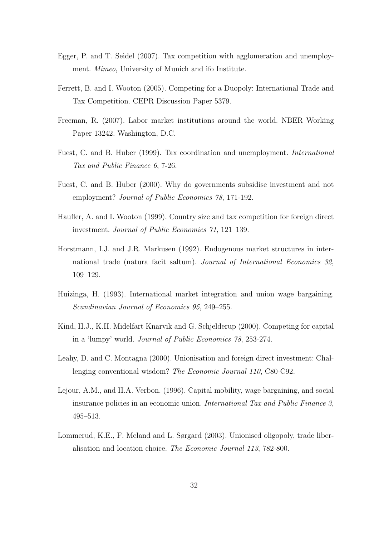- Egger, P. and T. Seidel (2007). Tax competition with agglomeration and unemployment. Mimeo, University of Munich and ifo Institute.
- Ferrett, B. and I. Wooton (2005). Competing for a Duopoly: International Trade and Tax Competition. CEPR Discussion Paper 5379.
- Freeman, R. (2007). Labor market institutions around the world. NBER Working Paper 13242. Washington, D.C.
- Fuest, C. and B. Huber (1999). Tax coordination and unemployment. International Tax and Public Finance 6, 7-26.
- Fuest, C. and B. Huber (2000). Why do governments subsidise investment and not employment? Journal of Public Economics 78, 171-192.
- Haufler, A. and I. Wooton (1999). Country size and tax competition for foreign direct investment. Journal of Public Economics 71, 121–139.
- Horstmann, I.J. and J.R. Markusen (1992). Endogenous market structures in international trade (natura facit saltum). Journal of International Economics 32, 109–129.
- Huizinga, H. (1993). International market integration and union wage bargaining. Scandinavian Journal of Economics 95, 249–255.
- Kind, H.J., K.H. Midelfart Knarvik and G. Schjelderup (2000). Competing for capital in a 'lumpy' world. Journal of Public Economics 78, 253-274.
- Leahy, D. and C. Montagna (2000). Unionisation and foreign direct investment: Challenging conventional wisdom? The Economic Journal 110, C80-C92.
- Lejour, A.M., and H.A. Verbon. (1996). Capital mobility, wage bargaining, and social insurance policies in an economic union. International Tax and Public Finance 3, 495–513.
- Lommerud, K.E., F. Meland and L. Sørgard (2003). Unionised oligopoly, trade liberalisation and location choice. The Economic Journal 113, 782-800.